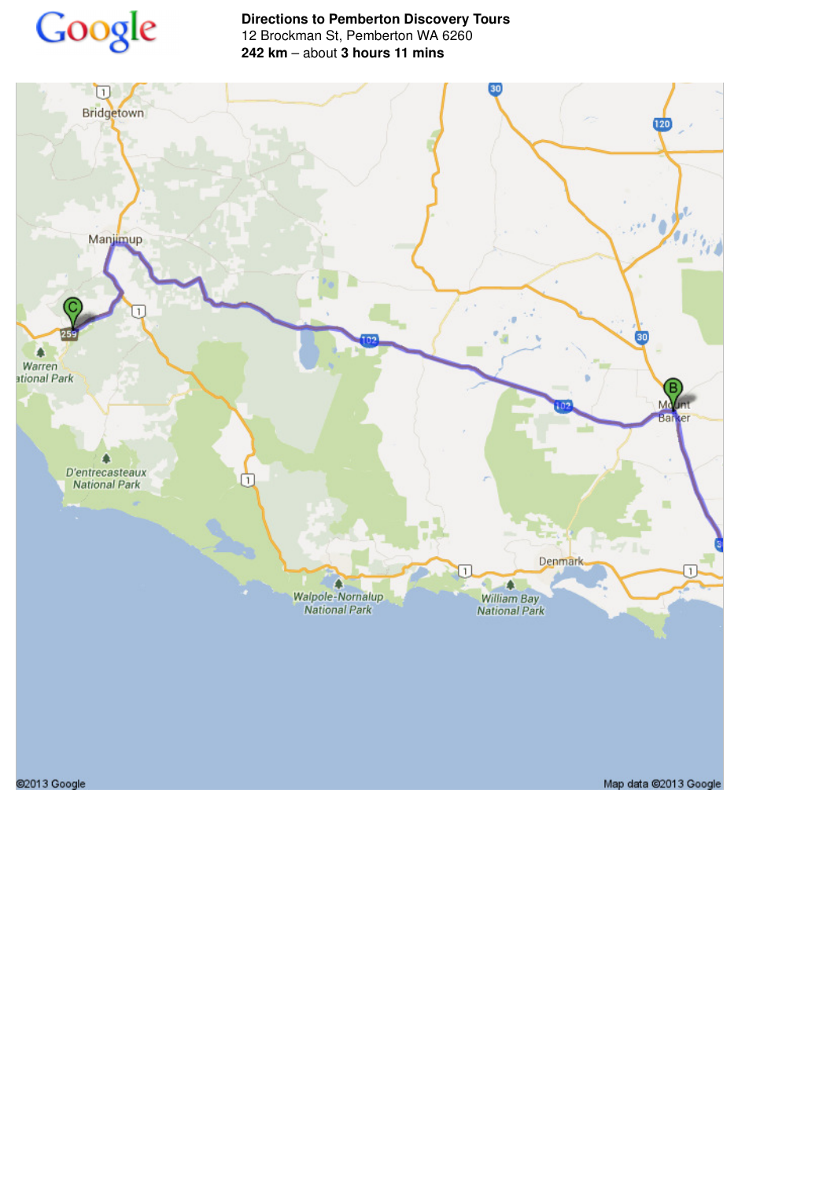

**Directions to Pemberton Discovery Tours** 12 Brockman St, Pemberton WA 6260 **242 km** – about **3 hours 11 mins**